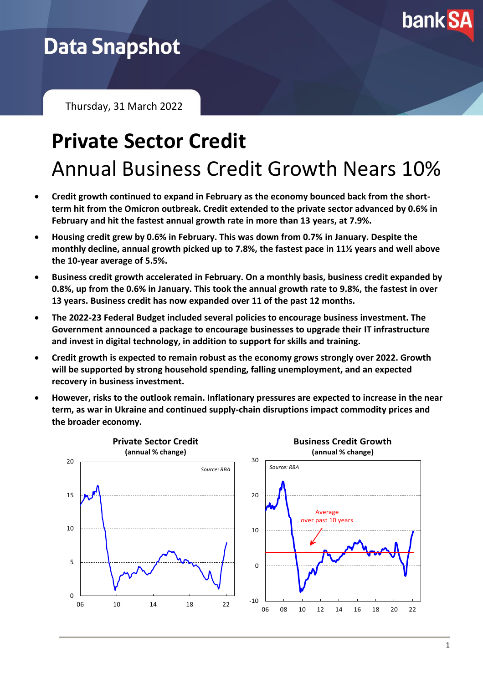

## **Data Snapshot**

Thursday, 31 March 2022

# **Private Sector Credit** Annual Business Credit Growth Nears 10%

- **Credit growth continued to expand in February as the economy bounced back from the shortterm hit from the Omicron outbreak. Credit extended to the private sector advanced by 0.6% in February and hit the fastest annual growth rate in more than 13 years, at 7.9%.**
- **Housing credit grew by 0.6% in February. This was down from 0.7% in January. Despite the monthly decline, annual growth picked up to 7.8%, the fastest pace in 11½ years and well above the 10-year average of 5.5%.**
- **Business credit growth accelerated in February. On a monthly basis, business credit expanded by 0.8%, up from the 0.6% in January. This took the annual growth rate to 9.8%, the fastest in over 13 years. Business credit has now expanded over 11 of the past 12 months.**
- **The 2022-23 Federal Budget included several policies to encourage business investment. The Government announced a package to encourage businesses to upgrade their IT infrastructure and invest in digital technology, in addition to support for skills and training.**
- **Credit growth is expected to remain robust as the economy grows strongly over 2022. Growth will be supported by strong household spending, falling unemployment, and an expected recovery in business investment.**
- **However, risks to the outlook remain. Inflationary pressures are expected to increase in the near term, as war in Ukraine and continued supply-chain disruptions impact commodity prices and the broader economy.**

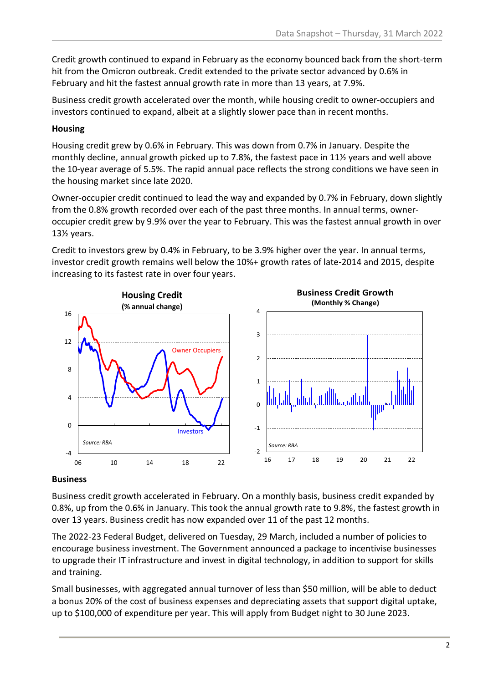Credit growth continued to expand in February as the economy bounced back from the short-term hit from the Omicron outbreak. Credit extended to the private sector advanced by 0.6% in February and hit the fastest annual growth rate in more than 13 years, at 7.9%.

Business credit growth accelerated over the month, while housing credit to owner-occupiers and investors continued to expand, albeit at a slightly slower pace than in recent months.

### **Housing**

Housing credit grew by 0.6% in February. This was down from 0.7% in January. Despite the monthly decline, annual growth picked up to 7.8%, the fastest pace in 11½ years and well above the 10-year average of 5.5%. The rapid annual pace reflects the strong conditions we have seen in the housing market since late 2020.

Owner-occupier credit continued to lead the way and expanded by 0.7% in February, down slightly from the 0.8% growth recorded over each of the past three months. In annual terms, owneroccupier credit grew by 9.9% over the year to February. This was the fastest annual growth in over 13½ years.

Credit to investors grew by 0.4% in February, to be 3.9% higher over the year. In annual terms, investor credit growth remains well below the 10%+ growth rates of late-2014 and 2015, despite increasing to its fastest rate in over four years.



### **Business**

Business credit growth accelerated in February. On a monthly basis, business credit expanded by 0.8%, up from the 0.6% in January. This took the annual growth rate to 9.8%, the fastest growth in over 13 years. Business credit has now expanded over 11 of the past 12 months.

The 2022-23 Federal Budget, delivered on Tuesday, 29 March, included a number of policies to encourage business investment. The Government announced a package to incentivise businesses to upgrade their IT infrastructure and invest in digital technology, in addition to support for skills and training.

Small businesses, with aggregated annual turnover of less than \$50 million, will be able to deduct a bonus 20% of the cost of business expenses and depreciating assets that support digital uptake, up to \$100,000 of expenditure per year. This will apply from Budget night to 30 June 2023.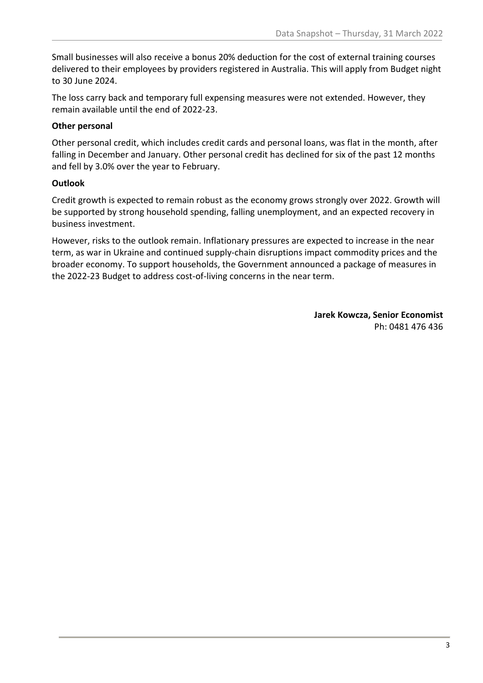Small businesses will also receive a bonus 20% deduction for the cost of external training courses delivered to their employees by providers registered in Australia. This will apply from Budget night to 30 June 2024.

The loss carry back and temporary full expensing measures were not extended. However, they remain available until the end of 2022-23.

#### **Other personal**

Other personal credit, which includes credit cards and personal loans, was flat in the month, after falling in December and January. Other personal credit has declined for six of the past 12 months and fell by 3.0% over the year to February.

### **Outlook**

Credit growth is expected to remain robust as the economy grows strongly over 2022. Growth will be supported by strong household spending, falling unemployment, and an expected recovery in business investment.

However, risks to the outlook remain. Inflationary pressures are expected to increase in the near term, as war in Ukraine and continued supply-chain disruptions impact commodity prices and the broader economy. To support households, the Government announced a package of measures in the 2022-23 Budget to address cost-of-living concerns in the near term.

> **Jarek Kowcza, Senior Economist** Ph: 0481 476 436